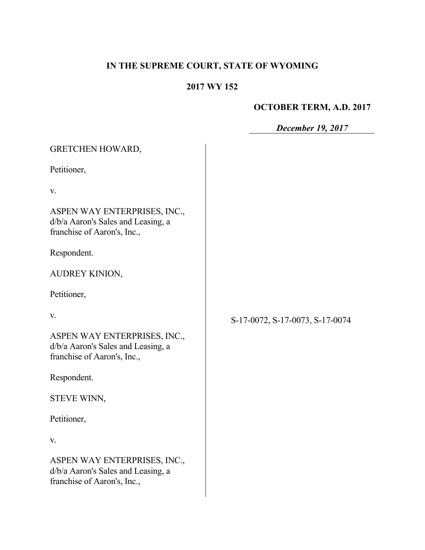# **IN THE SUPREME COURT, STATE OF WYOMING**

# **2017 WY 152**

# **OCTOBER TERM, A.D. 2017**

*December 19, 2017*

| <b>GRETCHEN HOWARD,</b>                                                                           |                                 |
|---------------------------------------------------------------------------------------------------|---------------------------------|
| Petitioner,                                                                                       |                                 |
| V.                                                                                                |                                 |
| ASPEN WAY ENTERPRISES, INC.,<br>d/b/a Aaron's Sales and Leasing, a<br>franchise of Aaron's, Inc., |                                 |
| Respondent.                                                                                       |                                 |
| AUDREY KINION,                                                                                    |                                 |
| Petitioner,                                                                                       |                                 |
| V.                                                                                                | S-17-0072, S-17-0073, S-17-0074 |
| ASPEN WAY ENTERPRISES, INC.,<br>d/b/a Aaron's Sales and Leasing, a<br>franchise of Aaron's, Inc., |                                 |
| Respondent.                                                                                       |                                 |
| STEVE WINN,                                                                                       |                                 |
| Petitioner,                                                                                       |                                 |
| V.                                                                                                |                                 |
| ASPEN WAY ENTERPRISES, INC.,<br>d/b/a Aaron's Sales and Leasing, a<br>franchise of Aaron's, Inc., |                                 |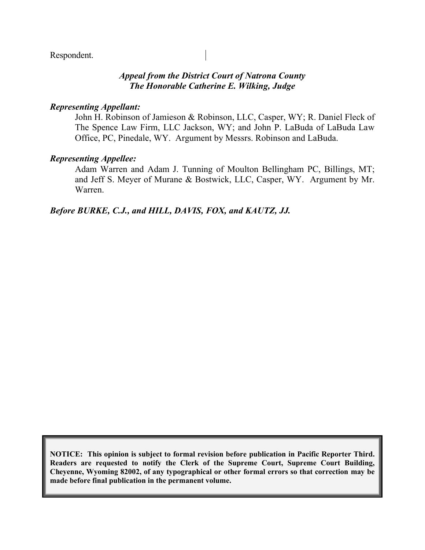Respondent.

#### *Appeal from the District Court of Natrona County The Honorable Catherine E. Wilking, Judge*

#### *Representing Appellant:*

John H. Robinson of Jamieson & Robinson, LLC, Casper, WY; R. Daniel Fleck of The Spence Law Firm, LLC Jackson, WY; and John P. LaBuda of LaBuda Law Office, PC, Pinedale, WY. Argument by Messrs. Robinson and LaBuda.

#### *Representing Appellee:*

Adam Warren and Adam J. Tunning of Moulton Bellingham PC, Billings, MT; and Jeff S. Meyer of Murane & Bostwick, LLC, Casper, WY. Argument by Mr. Warren.

*Before BURKE, C.J., and HILL, DAVIS, FOX, and KAUTZ, JJ.*

**NOTICE: This opinion is subject to formal revision before publication in Pacific Reporter Third. Readers are requested to notify the Clerk of the Supreme Court, Supreme Court Building, Cheyenne, Wyoming 82002, of any typographical or other formal errors so that correction may be made before final publication in the permanent volume.**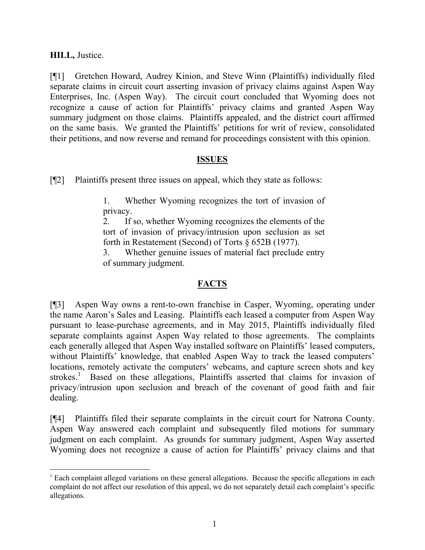#### **HILL,** Justice.

l

[¶1] Gretchen Howard, Audrey Kinion, and Steve Winn (Plaintiffs) individually filed separate claims in circuit court asserting invasion of privacy claims against Aspen Way Enterprises, Inc. (Aspen Way). The circuit court concluded that Wyoming does not recognize a cause of action for Plaintiffs' privacy claims and granted Aspen Way summary judgment on those claims. Plaintiffs appealed, and the district court affirmed on the same basis. We granted the Plaintiffs' petitions for writ of review, consolidated their petitions, and now reverse and remand for proceedings consistent with this opinion.

# **ISSUES**

[¶2] Plaintiffs present three issues on appeal, which they state as follows:

1. Whether Wyoming recognizes the tort of invasion of privacy.

2. If so, whether Wyoming recognizes the elements of the tort of invasion of privacy/intrusion upon seclusion as set forth in Restatement (Second) of Torts § 652B (1977).

3. Whether genuine issues of material fact preclude entry of summary judgment.

# **FACTS**

[¶3] Aspen Way owns a rent-to-own franchise in Casper, Wyoming, operating under the name Aaron's Sales and Leasing. Plaintiffs each leased a computer from Aspen Way pursuant to lease-purchase agreements, and in May 2015, Plaintiffs individually filed separate complaints against Aspen Way related to those agreements. The complaints each generally alleged that Aspen Way installed software on Plaintiffs' leased computers, without Plaintiffs' knowledge, that enabled Aspen Way to track the leased computers' locations, remotely activate the computers' webcams, and capture screen shots and key strokes. $<sup>1</sup>$ </sup> Based on these allegations, Plaintiffs asserted that claims for invasion of privacy/intrusion upon seclusion and breach of the covenant of good faith and fair dealing.

[¶4] Plaintiffs filed their separate complaints in the circuit court for Natrona County. Aspen Way answered each complaint and subsequently filed motions for summary judgment on each complaint. As grounds for summary judgment, Aspen Way asserted Wyoming does not recognize a cause of action for Plaintiffs' privacy claims and that

<sup>&</sup>lt;sup>1</sup> Each complaint alleged variations on these general allegations. Because the specific allegations in each complaint do not affect our resolution of this appeal, we do not separately detail each complaint's specific allegations.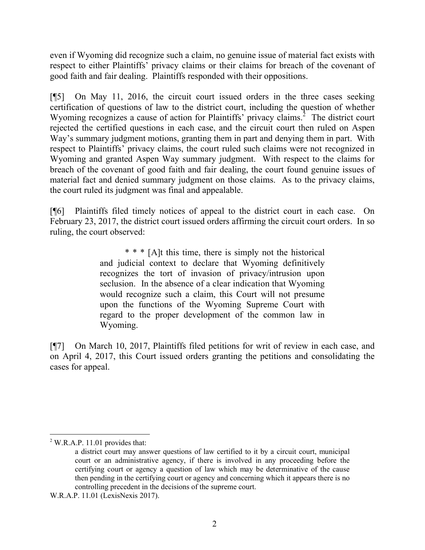even if Wyoming did recognize such a claim, no genuine issue of material fact exists with respect to either Plaintiffs' privacy claims or their claims for breach of the covenant of good faith and fair dealing. Plaintiffs responded with their oppositions.

[¶5] On May 11, 2016, the circuit court issued orders in the three cases seeking certification of questions of law to the district court, including the question of whether Wyoming recognizes a cause of action for Plaintiffs' privacy claims. $^2$  The district court rejected the certified questions in each case, and the circuit court then ruled on Aspen Way's summary judgment motions, granting them in part and denying them in part. With respect to Plaintiffs' privacy claims, the court ruled such claims were not recognized in Wyoming and granted Aspen Way summary judgment. With respect to the claims for breach of the covenant of good faith and fair dealing, the court found genuine issues of material fact and denied summary judgment on those claims. As to the privacy claims, the court ruled its judgment was final and appealable.

[¶6] Plaintiffs filed timely notices of appeal to the district court in each case. On February 23, 2017, the district court issued orders affirming the circuit court orders. In so ruling, the court observed:

> \* \* \* [A]t this time, there is simply not the historical and judicial context to declare that Wyoming definitively recognizes the tort of invasion of privacy/intrusion upon seclusion. In the absence of a clear indication that Wyoming would recognize such a claim, this Court will not presume upon the functions of the Wyoming Supreme Court with regard to the proper development of the common law in Wyoming.

[¶7] On March 10, 2017, Plaintiffs filed petitions for writ of review in each case, and on April 4, 2017, this Court issued orders granting the petitions and consolidating the cases for appeal.

l  $2$  W.R.A.P. 11.01 provides that:

a district court may answer questions of law certified to it by a circuit court, municipal court or an administrative agency, if there is involved in any proceeding before the certifying court or agency a question of law which may be determinative of the cause then pending in the certifying court or agency and concerning which it appears there is no controlling precedent in the decisions of the supreme court.

W.R.A.P. 11.01 (LexisNexis 2017).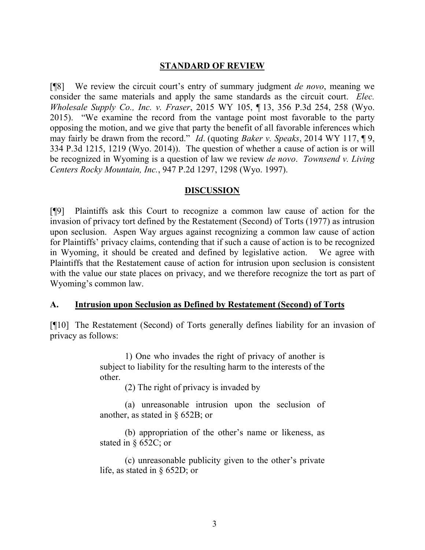# **STANDARD OF REVIEW**

[¶8] We review the circuit court's entry of summary judgment *de novo*, meaning we consider the same materials and apply the same standards as the circuit court. *Elec. Wholesale Supply Co., Inc. v. Fraser*, 2015 WY 105, ¶ 13, 356 P.3d 254, 258 (Wyo. 2015). "We examine the record from the vantage point most favorable to the party opposing the motion, and we give that party the benefit of all favorable inferences which may fairly be drawn from the record." *Id*. (quoting *Baker v. Speaks*, 2014 WY 117, ¶ 9, 334 P.3d 1215, 1219 (Wyo. 2014)). The question of whether a cause of action is or will be recognized in Wyoming is a question of law we review *de novo*. *Townsend v. Living Centers Rocky Mountain, Inc.*, 947 P.2d 1297, 1298 (Wyo. 1997).

# **DISCUSSION**

[¶9] Plaintiffs ask this Court to recognize a common law cause of action for the invasion of privacy tort defined by the Restatement (Second) of Torts (1977) as intrusion upon seclusion. Aspen Way argues against recognizing a common law cause of action for Plaintiffs' privacy claims, contending that if such a cause of action is to be recognized in Wyoming, it should be created and defined by legislative action. We agree with Plaintiffs that the Restatement cause of action for intrusion upon seclusion is consistent with the value our state places on privacy, and we therefore recognize the tort as part of Wyoming's common law.

#### **A. Intrusion upon Seclusion as Defined by Restatement (Second) of Torts**

[¶10] The Restatement (Second) of Torts generally defines liability for an invasion of privacy as follows:

> 1) One who invades the right of privacy of another is subject to liability for the resulting harm to the interests of the other.

> > (2) The right of privacy is invaded by

(a) unreasonable intrusion upon the seclusion of another, as stated in § 652B; or

(b) appropriation of the other's name or likeness, as stated in § 652C; or

(c) unreasonable publicity given to the other's private life, as stated in § 652D; or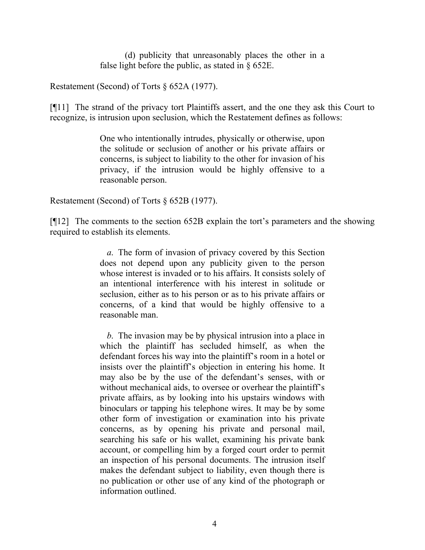(d) publicity that unreasonably places the other in a false light before the public, as stated in § 652E.

Restatement (Second) of Torts § 652A (1977).

[¶11] The strand of the privacy tort Plaintiffs assert, and the one they ask this Court to recognize, is intrusion upon seclusion, which the Restatement defines as follows:

> One who intentionally intrudes, physically or otherwise, upon the solitude or seclusion of another or his private affairs or concerns, is subject to liability to the other for invasion of his privacy, if the intrusion would be highly offensive to a reasonable person.

Restatement (Second) of Torts § 652B (1977).

[¶12] The comments to the section 652B explain the tort's parameters and the showing required to establish its elements.

> *a*. The form of invasion of privacy covered by this Section does not depend upon any publicity given to the person whose interest is invaded or to his affairs. It consists solely of an intentional interference with his interest in solitude or seclusion, either as to his person or as to his private affairs or concerns, of a kind that would be highly offensive to a reasonable man.

> *b*. The invasion may be by physical intrusion into a place in which the plaintiff has secluded himself, as when the defendant forces his way into the plaintiff's room in a hotel or insists over the plaintiff's objection in entering his home. It may also be by the use of the defendant's senses, with or without mechanical aids, to oversee or overhear the plaintiff's private affairs, as by looking into his upstairs windows with binoculars or tapping his telephone wires. It may be by some other form of investigation or examination into his private concerns, as by opening his private and personal mail, searching his safe or his wallet, examining his private bank account, or compelling him by a forged court order to permit an inspection of his personal documents. The intrusion itself makes the defendant subject to liability, even though there is no publication or other use of any kind of the photograph or information outlined.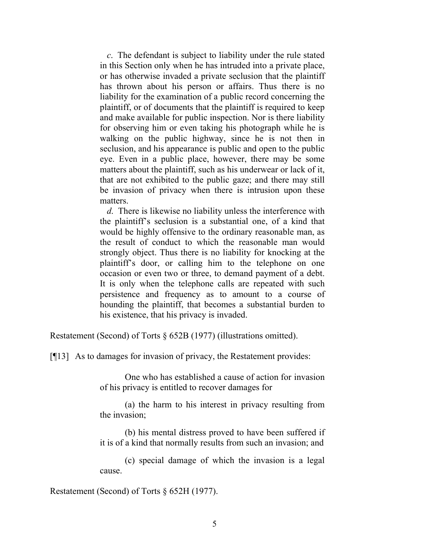*c*. The defendant is subject to liability under the rule stated in this Section only when he has intruded into a private place, or has otherwise invaded a private seclusion that the plaintiff has thrown about his person or affairs. Thus there is no liability for the examination of a public record concerning the plaintiff, or of documents that the plaintiff is required to keep and make available for public inspection. Nor is there liability for observing him or even taking his photograph while he is walking on the public highway, since he is not then in seclusion, and his appearance is public and open to the public eye. Even in a public place, however, there may be some matters about the plaintiff, such as his underwear or lack of it, that are not exhibited to the public gaze; and there may still be invasion of privacy when there is intrusion upon these matters.

 *d*. There is likewise no liability unless the interference with the plaintiff's seclusion is a substantial one, of a kind that would be highly offensive to the ordinary reasonable man, as the result of conduct to which the reasonable man would strongly object. Thus there is no liability for knocking at the plaintiff's door, or calling him to the telephone on one occasion or even two or three, to demand payment of a debt. It is only when the telephone calls are repeated with such persistence and frequency as to amount to a course of hounding the plaintiff, that becomes a substantial burden to his existence, that his privacy is invaded.

Restatement (Second) of Torts § 652B (1977) (illustrations omitted).

[¶13] As to damages for invasion of privacy, the Restatement provides:

One who has established a cause of action for invasion of his privacy is entitled to recover damages for

(a) the harm to his interest in privacy resulting from the invasion;

(b) his mental distress proved to have been suffered if it is of a kind that normally results from such an invasion; and

(c) special damage of which the invasion is a legal cause.

Restatement (Second) of Torts § 652H (1977).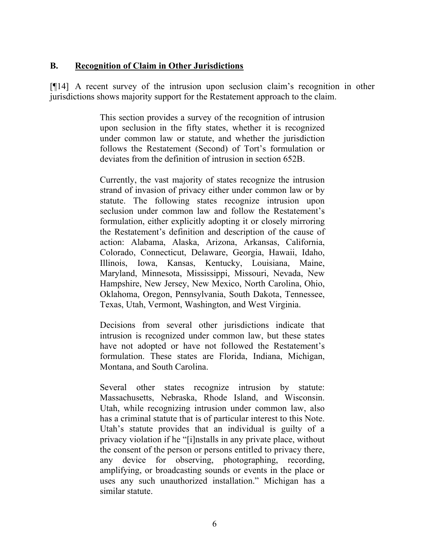# **B. Recognition of Claim in Other Jurisdictions**

[¶14] A recent survey of the intrusion upon seclusion claim's recognition in other jurisdictions shows majority support for the Restatement approach to the claim.

> This section provides a survey of the recognition of intrusion upon seclusion in the fifty states, whether it is recognized under common law or statute, and whether the jurisdiction follows the Restatement (Second) of Tort's formulation or deviates from the definition of intrusion in section 652B.

> Currently, the vast majority of states recognize the intrusion strand of invasion of privacy either under common law or by statute. The following states recognize intrusion upon seclusion under common law and follow the Restatement's formulation, either explicitly adopting it or closely mirroring the Restatement's definition and description of the cause of action: Alabama, Alaska, Arizona, Arkansas, California, Colorado, Connecticut, Delaware, Georgia, Hawaii, Idaho, Illinois, Iowa, Kansas, Kentucky, Louisiana, Maine, Maryland, Minnesota, Mississippi, Missouri, Nevada, New Hampshire, New Jersey, New Mexico, North Carolina, Ohio, Oklahoma, Oregon, Pennsylvania, South Dakota, Tennessee, Texas, Utah, Vermont, Washington, and West Virginia.

> Decisions from several other jurisdictions indicate that intrusion is recognized under common law, but these states have not adopted or have not followed the Restatement's formulation. These states are Florida, Indiana, Michigan, Montana, and South Carolina.

> Several other states recognize intrusion by statute: Massachusetts, Nebraska, Rhode Island, and Wisconsin. Utah, while recognizing intrusion under common law, also has a criminal statute that is of particular interest to this Note. Utah's statute provides that an individual is guilty of a privacy violation if he "[i]nstalls in any private place, without the consent of the person or persons entitled to privacy there, any device for observing, photographing, recording, amplifying, or broadcasting sounds or events in the place or uses any such unauthorized installation." Michigan has a similar statute.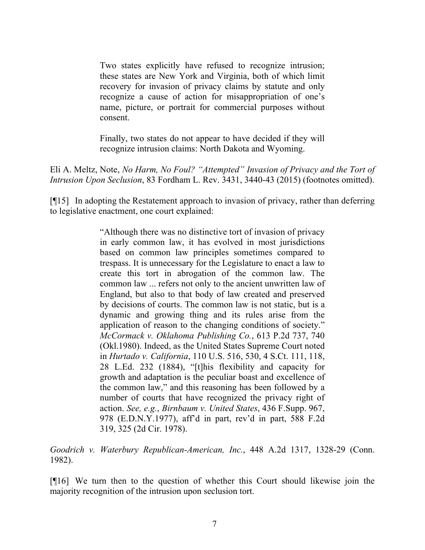Two states explicitly have refused to recognize intrusion; these states are New York and Virginia, both of which limit recovery for invasion of privacy claims by statute and only recognize a cause of action for misappropriation of one's name, picture, or portrait for commercial purposes without consent.

Finally, two states do not appear to have decided if they will recognize intrusion claims: North Dakota and Wyoming.

Eli A. Meltz, Note, *No Harm, No Foul? "Attempted" Invasion of Privacy and the Tort of Intrusion Upon Seclusion*, 83 Fordham L. Rev. 3431, 3440-43 (2015) (footnotes omitted).

[¶15] In adopting the Restatement approach to invasion of privacy, rather than deferring to legislative enactment, one court explained:

> "Although there was no distinctive tort of invasion of privacy in early common law, it has evolved in most jurisdictions based on common law principles sometimes compared to trespass. It is unnecessary for the Legislature to enact a law to create this tort in abrogation of the common law. The common law ... refers not only to the ancient unwritten law of England, but also to that body of law created and preserved by decisions of courts. The common law is not static, but is a dynamic and growing thing and its rules arise from the application of reason to the changing conditions of society." *McCormack v. Oklahoma Publishing Co.*, 613 P.2d 737, 740 (Okl.1980). Indeed, as the United States Supreme Court noted in *Hurtado v. California*, 110 U.S. 516, 530, 4 S.Ct. 111, 118, 28 L.Ed. 232 (1884), "[t]his flexibility and capacity for growth and adaptation is the peculiar boast and excellence of the common law," and this reasoning has been followed by a number of courts that have recognized the privacy right of action. *See, e.g.*, *Birnbaum v. United States*, 436 F.Supp. 967, 978 (E.D.N.Y.1977), aff'd in part, rev'd in part, 588 F.2d 319, 325 (2d Cir. 1978).

*Goodrich v. Waterbury Republican-American, Inc.*, 448 A.2d 1317, 1328-29 (Conn. 1982).

[¶16] We turn then to the question of whether this Court should likewise join the majority recognition of the intrusion upon seclusion tort.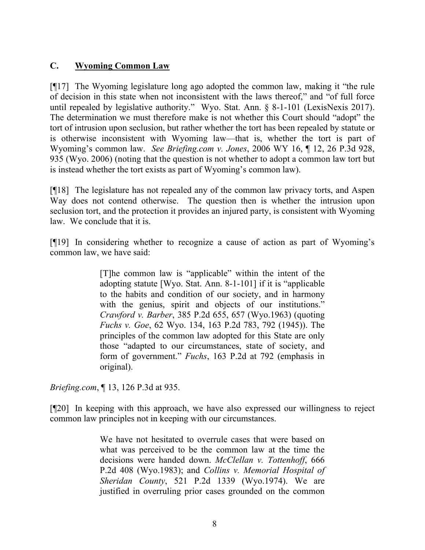# **C. Wyoming Common Law**

[¶17] The Wyoming legislature long ago adopted the common law, making it "the rule of decision in this state when not inconsistent with the laws thereof," and "of full force until repealed by legislative authority." Wyo. Stat. Ann. § 8-1-101 (LexisNexis 2017). The determination we must therefore make is not whether this Court should "adopt" the tort of intrusion upon seclusion, but rather whether the tort has been repealed by statute or is otherwise inconsistent with Wyoming law—that is, whether the tort is part of Wyoming's common law. *See Briefing.com v. Jones*, 2006 WY 16, ¶ 12, 26 P.3d 928, 935 (Wyo. 2006) (noting that the question is not whether to adopt a common law tort but is instead whether the tort exists as part of Wyoming's common law).

[¶18] The legislature has not repealed any of the common law privacy torts, and Aspen Way does not contend otherwise. The question then is whether the intrusion upon seclusion tort, and the protection it provides an injured party, is consistent with Wyoming law. We conclude that it is.

[¶19] In considering whether to recognize a cause of action as part of Wyoming's common law, we have said:

> [T]he common law is "applicable" within the intent of the adopting statute [Wyo. Stat. Ann. 8-1-101] if it is "applicable to the habits and condition of our society, and in harmony with the genius, spirit and objects of our institutions." *Crawford v. Barber*, 385 P.2d 655, 657 (Wyo.1963) (quoting *Fuchs v. Goe*, 62 Wyo. 134, 163 P.2d 783, 792 (1945)). The principles of the common law adopted for this State are only those "adapted to our circumstances, state of society, and form of government." *Fuchs*, 163 P.2d at 792 (emphasis in original).

*Briefing.com*, ¶ 13, 126 P.3d at 935.

[¶20] In keeping with this approach, we have also expressed our willingness to reject common law principles not in keeping with our circumstances.

> We have not hesitated to overrule cases that were based on what was perceived to be the common law at the time the decisions were handed down. *McClellan v. Tottenhoff*, 666 P.2d 408 (Wyo.1983); and *Collins v. Memorial Hospital of Sheridan County*, 521 P.2d 1339 (Wyo.1974). We are justified in overruling prior cases grounded on the common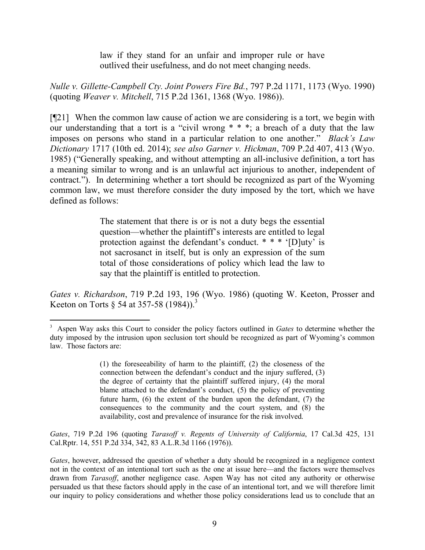law if they stand for an unfair and improper rule or have outlived their usefulness, and do not meet changing needs.

*Nulle v. Gillette-Campbell Cty. Joint Powers Fire Bd.*, 797 P.2d 1171, 1173 (Wyo. 1990) (quoting *Weaver v. Mitchell*, 715 P.2d 1361, 1368 (Wyo. 1986)).

[¶21] When the common law cause of action we are considering is a tort, we begin with our understanding that a tort is a "civil wrong \* \* \*; a breach of a duty that the law imposes on persons who stand in a particular relation to one another." *Black's Law Dictionary* 1717 (10th ed. 2014); *see also Garner v. Hickman*, 709 P.2d 407, 413 (Wyo. 1985) ("Generally speaking, and without attempting an all-inclusive definition, a tort has a meaning similar to wrong and is an unlawful act injurious to another, independent of contract."). In determining whether a tort should be recognized as part of the Wyoming common law, we must therefore consider the duty imposed by the tort, which we have defined as follows:

> The statement that there is or is not a duty begs the essential question—whether the plaintiff's interests are entitled to legal protection against the defendant's conduct. \* \* \* '[D]uty' is not sacrosanct in itself, but is only an expression of the sum total of those considerations of policy which lead the law to say that the plaintiff is entitled to protection.

*Gates v. Richardson*, 719 P.2d 193, 196 (Wyo. 1986) (quoting W. Keeton, Prosser and Keeton on Torts  $\S$  54 at 357-58 (1984)).<sup>3</sup>

l

(1) the foreseeability of harm to the plaintiff, (2) the closeness of the connection between the defendant's conduct and the injury suffered, (3) the degree of certainty that the plaintiff suffered injury, (4) the moral blame attached to the defendant's conduct, (5) the policy of preventing future harm, (6) the extent of the burden upon the defendant, (7) the consequences to the community and the court system, and (8) the availability, cost and prevalence of insurance for the risk involved.

*Gates*, 719 P.2d 196 (quoting *Tarasoff v. Regents of University of California*, 17 Cal.3d 425, 131 Cal.Rptr. 14, 551 P.2d 334, 342, 83 A.L.R.3d 1166 (1976)).

<sup>3</sup> Aspen Way asks this Court to consider the policy factors outlined in *Gates* to determine whether the duty imposed by the intrusion upon seclusion tort should be recognized as part of Wyoming's common law. Those factors are:

*Gates*, however, addressed the question of whether a duty should be recognized in a negligence context not in the context of an intentional tort such as the one at issue here—and the factors were themselves drawn from *Tarasoff*, another negligence case. Aspen Way has not cited any authority or otherwise persuaded us that these factors should apply in the case of an intentional tort, and we will therefore limit our inquiry to policy considerations and whether those policy considerations lead us to conclude that an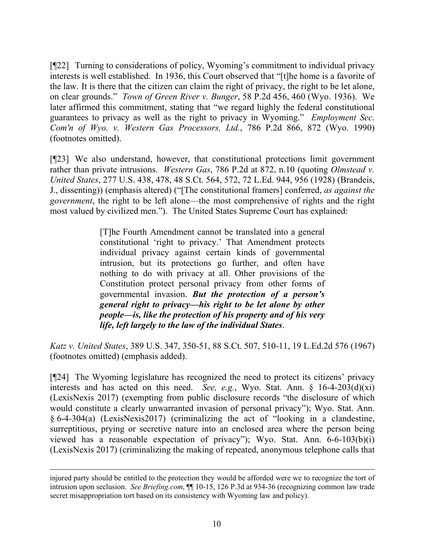[¶22] Turning to considerations of policy, Wyoming's commitment to individual privacy interests is well established. In 1936, this Court observed that "[t]he home is a favorite of the law. It is there that the citizen can claim the right of privacy, the right to be let alone, on clear grounds." *Town of Green River v. Bunger*, 58 P.2d 456, 460 (Wyo. 1936). We later affirmed this commitment, stating that "we regard highly the federal constitutional guarantees to privacy as well as the right to privacy in Wyoming." *Employment Sec. Com'n of Wyo. v. Western Gas Processors, Ltd.*, 786 P.2d 866, 872 (Wyo. 1990) (footnotes omitted).

[¶23] We also understand, however, that constitutional protections limit government rather than private intrusions. *Western Gas*, 786 P.2d at 872, n.10 (quoting *Olmstead v. United States*, 277 U.S. 438, 478, 48 S.Ct. 564, 572, 72 L.Ed. 944, 956 (1928) (Brandeis, J., dissenting)) (emphasis altered) ("[The constitutional framers] conferred, *as against the government*, the right to be left alone—the most comprehensive of rights and the right most valued by civilized men."). The United States Supreme Court has explained:

> [T]he Fourth Amendment cannot be translated into a general constitutional 'right to privacy.' That Amendment protects individual privacy against certain kinds of governmental intrusion, but its protections go further, and often have nothing to do with privacy at all. Other provisions of the Constitution protect personal privacy from other forms of governmental invasion. *But the protection of a person's general right to privacy—his right to be let alone by other people—is, like the protection of his property and of his very life, left largely to the law of the individual States*.

*Katz v. United States*, 389 U.S. 347, 350-51, 88 S.Ct. 507, 510-11, 19 L.Ed.2d 576 (1967) (footnotes omitted) (emphasis added).

[¶24] The Wyoming legislature has recognized the need to protect its citizens' privacy interests and has acted on this need. *See, e.g.*, Wyo. Stat. Ann. § 16-4-203(d)(xi) (LexisNexis 2017) (exempting from public disclosure records "the disclosure of which would constitute a clearly unwarranted invasion of personal privacy"); Wyo. Stat. Ann. § 6-4-304(a) (LexisNexis2017) (criminalizing the act of "looking in a clandestine, surreptitious, prying or secretive nature into an enclosed area where the person being viewed has a reasonable expectation of privacy"); Wyo. Stat. Ann. 6-6-103(b)(i) (LexisNexis 2017) (criminalizing the making of repeated, anonymous telephone calls that

l

injured party should be entitled to the protection they would be afforded were we to recognize the tort of intrusion upon seclusion. *See Briefing.com*, ¶¶ 10-15, 126 P.3d at 934-36 (recognizing common law trade secret misappropriation tort based on its consistency with Wyoming law and policy).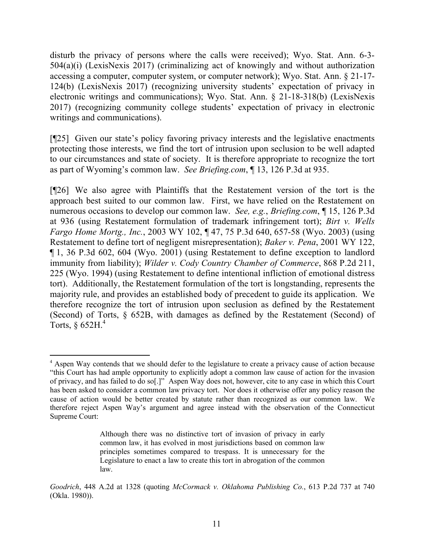disturb the privacy of persons where the calls were received); Wyo. Stat. Ann. 6-3- 504(a)(i) (LexisNexis 2017) (criminalizing act of knowingly and without authorization accessing a computer, computer system, or computer network); Wyo. Stat. Ann. § 21-17- 124(b) (LexisNexis 2017) (recognizing university students' expectation of privacy in electronic writings and communications); Wyo. Stat. Ann. § 21-18-318(b) (LexisNexis 2017) (recognizing community college students' expectation of privacy in electronic writings and communications).

[¶25] Given our state's policy favoring privacy interests and the legislative enactments protecting those interests, we find the tort of intrusion upon seclusion to be well adapted to our circumstances and state of society. It is therefore appropriate to recognize the tort as part of Wyoming's common law. *See Briefing.com*, ¶ 13, 126 P.3d at 935.

[¶26] We also agree with Plaintiffs that the Restatement version of the tort is the approach best suited to our common law. First, we have relied on the Restatement on numerous occasions to develop our common law. *See, e.g.*, *Briefing.com*, ¶ 15, 126 P.3d at 936 (using Restatement formulation of trademark infringement tort); *Birt v. Wells Fargo Home Mortg., Inc.*, 2003 WY 102, ¶ 47, 75 P.3d 640, 657-58 (Wyo. 2003) (using Restatement to define tort of negligent misrepresentation); *Baker v. Pena*, 2001 WY 122, ¶ 1, 36 P.3d 602, 604 (Wyo. 2001) (using Restatement to define exception to landlord immunity from liability); *Wilder v. Cody Country Chamber of Commerce*, 868 P.2d 211, 225 (Wyo. 1994) (using Restatement to define intentional infliction of emotional distress tort). Additionally, the Restatement formulation of the tort is longstanding, represents the majority rule, and provides an established body of precedent to guide its application. We therefore recognize the tort of intrusion upon seclusion as defined by the Restatement (Second) of Torts, § 652B, with damages as defined by the Restatement (Second) of Torts,  $\frac{652 \text{H}^4}{ }$ 

 $\overline{a}$ <sup>4</sup> Aspen Way contends that we should defer to the legislature to create a privacy cause of action because "this Court has had ample opportunity to explicitly adopt a common law cause of action for the invasion of privacy, and has failed to do so[.]" Aspen Way does not, however, cite to any case in which this Court has been asked to consider a common law privacy tort. Nor does it otherwise offer any policy reason the cause of action would be better created by statute rather than recognized as our common law. We therefore reject Aspen Way's argument and agree instead with the observation of the Connecticut Supreme Court:

Although there was no distinctive tort of invasion of privacy in early common law, it has evolved in most jurisdictions based on common law principles sometimes compared to trespass. It is unnecessary for the Legislature to enact a law to create this tort in abrogation of the common law.

*Goodrich*, 448 A.2d at 1328 (quoting *McCormack v. Oklahoma Publishing Co.*, 613 P.2d 737 at 740 (Okla. 1980)).